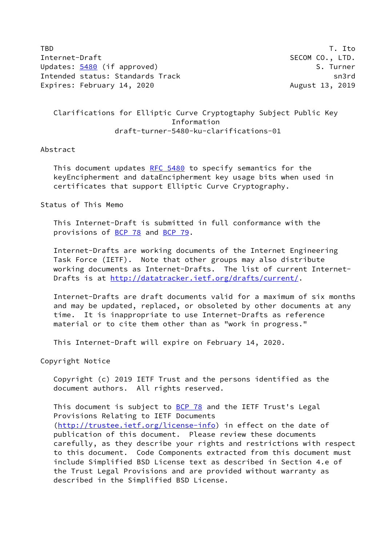TBD T. Ito Internet-Draft SECOM CO., LTD. Updates: [5480](https://datatracker.ietf.org/doc/pdf/rfc5480) (if approved) S. Turner Intended status: Standards Track sn3rd Expires: February 14, 2020 and the control of the August 13, 2019

## Clarifications for Elliptic Curve Cryptogtaphy Subject Public Key Information draft-turner-5480-ku-clarifications-01

## Abstract

This document updates [RFC 5480](https://datatracker.ietf.org/doc/pdf/rfc5480) to specify semantics for the keyEncipherment and dataEncipherment key usage bits when used in certificates that support Elliptic Curve Cryptography.

Status of This Memo

 This Internet-Draft is submitted in full conformance with the provisions of [BCP 78](https://datatracker.ietf.org/doc/pdf/bcp78) and [BCP 79](https://datatracker.ietf.org/doc/pdf/bcp79).

 Internet-Drafts are working documents of the Internet Engineering Task Force (IETF). Note that other groups may also distribute working documents as Internet-Drafts. The list of current Internet- Drafts is at<http://datatracker.ietf.org/drafts/current/>.

 Internet-Drafts are draft documents valid for a maximum of six months and may be updated, replaced, or obsoleted by other documents at any time. It is inappropriate to use Internet-Drafts as reference material or to cite them other than as "work in progress."

This Internet-Draft will expire on February 14, 2020.

Copyright Notice

 Copyright (c) 2019 IETF Trust and the persons identified as the document authors. All rights reserved.

This document is subject to **[BCP 78](https://datatracker.ietf.org/doc/pdf/bcp78)** and the IETF Trust's Legal Provisions Relating to IETF Documents [\(http://trustee.ietf.org/license-info](http://trustee.ietf.org/license-info)) in effect on the date of publication of this document. Please review these documents carefully, as they describe your rights and restrictions with respect to this document. Code Components extracted from this document must include Simplified BSD License text as described in Section 4.e of the Trust Legal Provisions and are provided without warranty as described in the Simplified BSD License.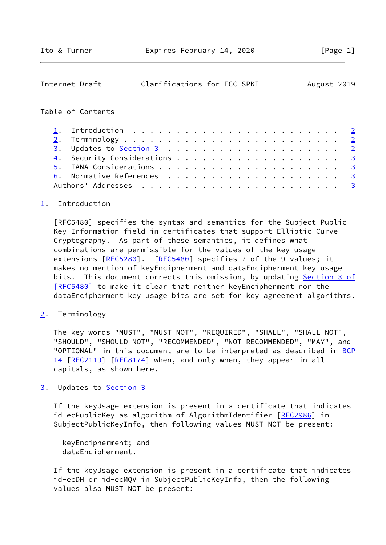<span id="page-1-1"></span>

| Internet-Draft    | Clarifications for ECC SPKI |  |  |  |  |  |  |  |  |  | August 2019             |
|-------------------|-----------------------------|--|--|--|--|--|--|--|--|--|-------------------------|
| Table of Contents |                             |  |  |  |  |  |  |  |  |  |                         |
|                   |                             |  |  |  |  |  |  |  |  |  |                         |
|                   |                             |  |  |  |  |  |  |  |  |  | $\overline{2}$          |
|                   |                             |  |  |  |  |  |  |  |  |  | $\overline{2}$          |
|                   |                             |  |  |  |  |  |  |  |  |  |                         |
|                   |                             |  |  |  |  |  |  |  |  |  | $\overline{\mathbf{3}}$ |
|                   |                             |  |  |  |  |  |  |  |  |  | $\frac{3}{2}$           |
|                   |                             |  |  |  |  |  |  |  |  |  | $\overline{\mathbf{3}}$ |

## <span id="page-1-0"></span>[1](#page-1-0). Introduction

 [RFC5480] specifies the syntax and semantics for the Subject Public Key Information field in certificates that support Elliptic Curve Cryptography. As part of these semantics, it defines what combinations are permissible for the values of the key usage extensions [[RFC5280\]](https://datatracker.ietf.org/doc/pdf/rfc5280). [\[RFC5480](https://datatracker.ietf.org/doc/pdf/rfc5480)] specifies 7 of the 9 values; it makes no mention of keyEncipherment and dataEncipherment key usage bits. This document corrects this omission, by updating [Section](https://datatracker.ietf.org/doc/pdf/rfc5480#section-3) 3 of [RFC5480] to make it clear that neither keyEncipherment nor the dataEncipherment key usage bits are set for key agreement algorithms.

<span id="page-1-2"></span>[2](#page-1-2). Terminology

 The key words "MUST", "MUST NOT", "REQUIRED", "SHALL", "SHALL NOT", "SHOULD", "SHOULD NOT", "RECOMMENDED", "NOT RECOMMENDED", "MAY", and "OPTIONAL" in this document are to be interpreted as described in [BCP](https://datatracker.ietf.org/doc/pdf/bcp14) [14](https://datatracker.ietf.org/doc/pdf/bcp14) [[RFC2119\]](https://datatracker.ietf.org/doc/pdf/rfc2119) [\[RFC8174](https://datatracker.ietf.org/doc/pdf/rfc8174)] when, and only when, they appear in all capitals, as shown here.

<span id="page-1-3"></span>[3](#page-1-3). Updates to [Section 3](#page-1-3)

 If the keyUsage extension is present in a certificate that indicates id-ecPublicKey as algorithm of AlgorithmIdentifier [[RFC2986\]](https://datatracker.ietf.org/doc/pdf/rfc2986) in SubjectPublicKeyInfo, then following values MUST NOT be present:

 keyEncipherment; and dataEncipherment.

 If the keyUsage extension is present in a certificate that indicates id-ecDH or id-ecMQV in SubjectPublicKeyInfo, then the following values also MUST NOT be present: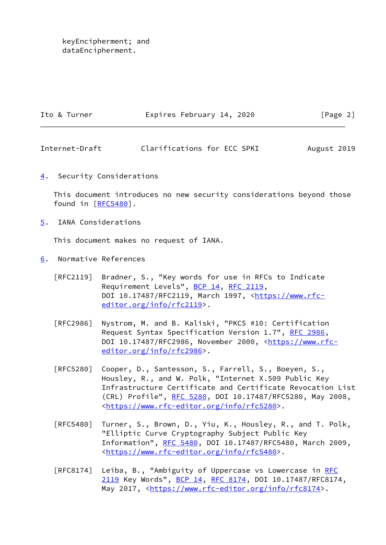keyEncipherment; and dataEncipherment.

| Ito & Turner | Expires February 14, 2020 | [Page 2] |
|--------------|---------------------------|----------|
|              |                           |          |

<span id="page-2-1"></span>Internet-Draft Clarifications for ECC SPKI August 2019

<span id="page-2-0"></span>[4](#page-2-0). Security Considerations

 This document introduces no new security considerations beyond those found in  $[REC5480]$ .

<span id="page-2-2"></span>[5](#page-2-2). IANA Considerations

This document makes no request of IANA.

- <span id="page-2-3"></span>[6](#page-2-3). Normative References
	- [RFC2119] Bradner, S., "Key words for use in RFCs to Indicate Requirement Levels", [BCP 14](https://datatracker.ietf.org/doc/pdf/bcp14), [RFC 2119](https://datatracker.ietf.org/doc/pdf/rfc2119), DOI 10.17487/RFC2119, March 1997, [<https://www.rfc](https://www.rfc-editor.org/info/rfc2119) [editor.org/info/rfc2119](https://www.rfc-editor.org/info/rfc2119)>.
	- [RFC2986] Nystrom, M. and B. Kaliski, "PKCS #10: Certification Request Syntax Specification Version 1.7", [RFC 2986](https://datatracker.ietf.org/doc/pdf/rfc2986), DOI 10.17487/RFC2986, November 2000, [<https://www.rfc](https://www.rfc-editor.org/info/rfc2986) [editor.org/info/rfc2986](https://www.rfc-editor.org/info/rfc2986)>.
	- [RFC5280] Cooper, D., Santesson, S., Farrell, S., Boeyen, S., Housley, R., and W. Polk, "Internet X.509 Public Key Infrastructure Certificate and Certificate Revocation List (CRL) Profile", [RFC 5280,](https://datatracker.ietf.org/doc/pdf/rfc5280) DOI 10.17487/RFC5280, May 2008, <[https://www.rfc-editor.org/info/rfc5280>](https://www.rfc-editor.org/info/rfc5280).
	- [RFC5480] Turner, S., Brown, D., Yiu, K., Housley, R., and T. Polk, "Elliptic Curve Cryptography Subject Public Key Information", [RFC 5480](https://datatracker.ietf.org/doc/pdf/rfc5480), DOI 10.17487/RFC5480, March 2009, <[https://www.rfc-editor.org/info/rfc5480>](https://www.rfc-editor.org/info/rfc5480).
	- [RFC8174] Leiba, B., "Ambiguity of Uppercase vs Lowercase in [RFC](https://datatracker.ietf.org/doc/pdf/rfc2119) [2119](https://datatracker.ietf.org/doc/pdf/rfc2119) Key Words", [BCP 14](https://datatracker.ietf.org/doc/pdf/bcp14), [RFC 8174,](https://datatracker.ietf.org/doc/pdf/rfc8174) DOI 10.17487/RFC8174, May 2017, [<https://www.rfc-editor.org/info/rfc8174](https://www.rfc-editor.org/info/rfc8174)>.